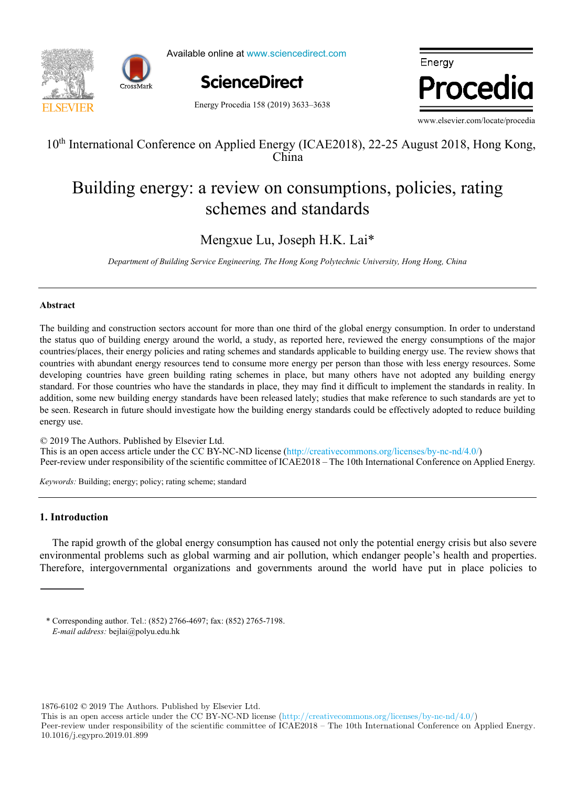

Available online at www.sciencedirect.com

Energy Procedia 158 (2019) 3633–3638



Energy Procedia

www.elsevier.com/locate/procedia

# $10^{\text{th}}$  International Conference on Applied Energy (ICAE2018), 22-25 August 2018, Hong Kong, Hong Kong, Hong Kong, Hong Kong, Hong Kong, Hong Kong, Hong Kong, Hong Kong, Hong Kong, Hong Kong, Hong Kong, Hong Kong, Hong 10<sup>th</sup> International Conference on Applied Energy (ICAE2018), 22-25 August 2018, Hong Kong, China

#### ig energy: a review on consumptions, policies, r Assessing the feasibility of using the heat demand-outdoor Building energy: a review on consumptions, policies, rating schemes and standards Building energy: a review on consumptions, policies, rating schemes and standards

#### Mengxue Lu, Joseph H.K. Lai\*  $M_{\text{energy}}$  Le Joseph H.K. Lai $*$ Mengxue Lu, Joseph H.K. Lai\*

 $\overline{b}$  $\cdot$   $\cdot$   $\cdot$   $\cdot$   $\cdot$   $\cdot$  $\overline{\phantom{a}}$  $\mathbf{B}$ .  $\sigma$ ,  $\sigma$ *Department of Building Service Engineering, The Hong Kong Polytechnic University, Hong Hong, China* 

## **Abstract**

countries with abundant energy resources tend to consume more energy per person than those with less energy resources. Some standard. For those countries who have the standards in place, they may find it difficult to implement the standards in reality. In addition, some new building energy standards have been released lately; studies that make reference to such standards are yet to be seen. Research in future should investigate how the building energy standards could be effectively adopted to reduce building energy use.  $T$  main scope of this paper is to assess the feature function for  $\alpha$ The building and construction sectors account for more than one third of the global energy consumption. In order to understand the status quo of building energy around the world, a study, as reported here, reviewed the energy consumptions of the major countries/places, their energy policies and rating schemes and standards applicable to building energy use. The review shows that developing countries have green building rating schemes in place, but many others have not adopted any building energy

© 2019 The Authors. Published by Elsevier Ltd. This is an open access article under the CC BY-NC-ND license (http://creativecommons.org/licenses/by-nc-nd/4.0/) Peer-review under responsibility of the scientific committee of ICAE2018 – The 10th International Conference on Applied Energy.  $\heartsuit$  2019 The Authors. Published by Elsevier Ltd. Teer ferrew ander red

Keywords: Building; energy; policy; rating scheme; standard  $T_{\rm tot}$  showed that when  $T_{\rm tot}$  is considered, the margin of error could be acceptable for some applications of  $T_{\rm tot}$ 

© 2017 The Authors. Published by Elsevier Ltd.

#### scenarios, the error value increased up to 59.5% (depending on the weather and renovation scenarios combination considered).  $T_{\rm eff}$  superator increased on average with the range of  $3.8$  per decade, that corresponds to that corresponds to the  $3.8$  per decade, that corresponds to the  $3.8$  per decade, that corresponds to the  $3.8$  per decade, **1. Introduction**

decrease in the number of heating hours of 22-139h during the heating season (depending on the combination of weather and The rapid growth of the global energy consumption has caused not only the potential energy crisis but also severe environmental problems such as global warming and air pollution, which endanger people's health and properties. Therefore, intergovernmental organizations and governments around the world have put in place policies to  $T$  intergovernmental organizations and governments around the world have put in place policies to  $\frac{1}{2}$ 

(the error in annual demand was lower than 20% for all weather scenarios considered). However, after introducing renovation

1876-6102 © 2019 The Authors. Published by Elsevier Ltd.

This is an open access article under the CC BY-NC-ND license (http://creativecommons.org/licenses/by-nc-nd/4.0/)

Peer-review under responsibility of the scientific committee of ICAE2018 – The 10th International Conference on Applied Energy. 10.1016/j.egypro.2019.01.899

<sup>\*</sup> Corresponding author. Tel.: (852) 2766-4697; fax: (852) 2765-7198. *Keywords:* Heat demand; Forecast; Climate change *E-mail address: bejlai@polyu.edu.hk*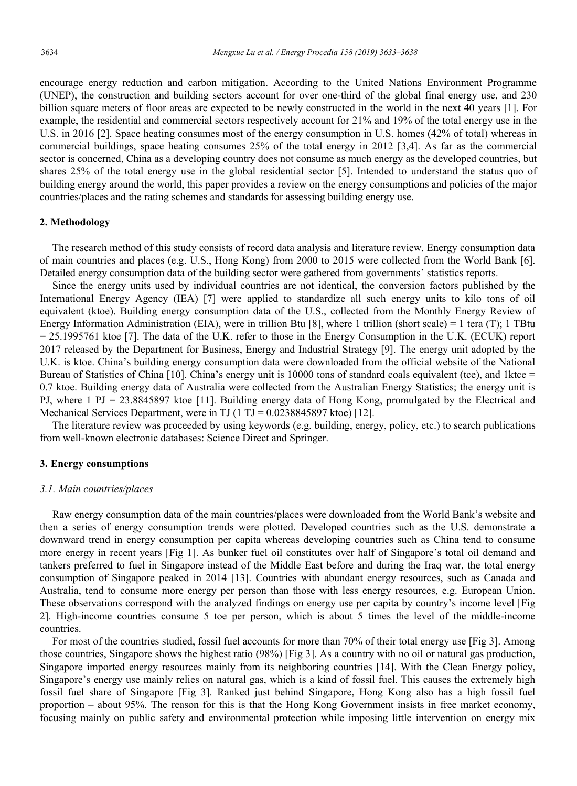encourage energy reduction and carbon mitigation. According to the United Nations Environment Programme (UNEP), the construction and building sectors account for over one-third of the global final energy use, and 230 billion square meters of floor areas are expected to be newly constructed in the world in the next 40 years [1]. For example, the residential and commercial sectors respectively account for 21% and 19% of the total energy use in the U.S. in 2016 [2]. Space heating consumes most of the energy consumption in U.S. homes (42% of total) whereas in commercial buildings, space heating consumes 25% of the total energy in 2012 [3,4]. As far as the commercial sector is concerned, China as a developing country does not consume as much energy as the developed countries, but shares 25% of the total energy use in the global residential sector [5]. Intended to understand the status quo of building energy around the world, this paper provides a review on the energy consumptions and policies of the major countries/places and the rating schemes and standards for assessing building energy use.

## **2. Methodology**

The research method of this study consists of record data analysis and literature review. Energy consumption data of main countries and places (e.g. U.S., Hong Kong) from 2000 to 2015 were collected from the World Bank [6]. Detailed energy consumption data of the building sector were gathered from governments' statistics reports.

Since the energy units used by individual countries are not identical, the conversion factors published by the International Energy Agency (IEA) [7] were applied to standardize all such energy units to kilo tons of oil equivalent (ktoe). Building energy consumption data of the U.S., collected from the Monthly Energy Review of Energy Information Administration (EIA), were in trillion Btu [8], where 1 trillion (short scale) = 1 tera (T); 1 TBtu = 25.1995761 ktoe [7]. The data of the U.K. refer to those in the Energy Consumption in the U.K. (ECUK) report 2017 released by the Department for Business, Energy and Industrial Strategy [9]. The energy unit adopted by the U.K. is ktoe. China's building energy consumption data were downloaded from the official website of the National Bureau of Statistics of China  $[10]$ . China's energy unit is 10000 tons of standard coals equivalent (tce), and 1ktce = 0.7 ktoe. Building energy data of Australia were collected from the Australian Energy Statistics; the energy unit is PJ, where 1 PJ = 23.8845897 ktoe [11]. Building energy data of Hong Kong, promulgated by the Electrical and Mechanical Services Department, were in TJ (1 TJ =  $0.0238845897$  ktoe) [12].

The literature review was proceeded by using keywords (e.g. building, energy, policy, etc.) to search publications from well-known electronic databases: Science Direct and Springer.

## **3. Energy consumptions**

## *3.1. Main countries/places*

Raw energy consumption data of the main countries/places were downloaded from the World Bank's website and then a series of energy consumption trends were plotted. Developed countries such as the U.S. demonstrate a downward trend in energy consumption per capita whereas developing countries such as China tend to consume more energy in recent years [Fig 1]. As bunker fuel oil constitutes over half of Singapore's total oil demand and tankers preferred to fuel in Singapore instead of the Middle East before and during the Iraq war, the total energy consumption of Singapore peaked in 2014 [13]. Countries with abundant energy resources, such as Canada and Australia, tend to consume more energy per person than those with less energy resources, e.g. European Union. These observations correspond with the analyzed findings on energy use per capita by country's income level [Fig 2]. High-income countries consume 5 toe per person, which is about 5 times the level of the middle-income countries.

For most of the countries studied, fossil fuel accounts for more than 70% of their total energy use [Fig 3]. Among those countries, Singapore shows the highest ratio (98%) [Fig 3]. As a country with no oil or natural gas production, Singapore imported energy resources mainly from its neighboring countries [14]. With the Clean Energy policy, Singapore's energy use mainly relies on natural gas, which is a kind of fossil fuel. This causes the extremely high fossil fuel share of Singapore [Fig 3]. Ranked just behind Singapore, Hong Kong also has a high fossil fuel proportion – about 95%. The reason for this is that the Hong Kong Government insists in free market economy, focusing mainly on public safety and environmental protection while imposing little intervention on energy mix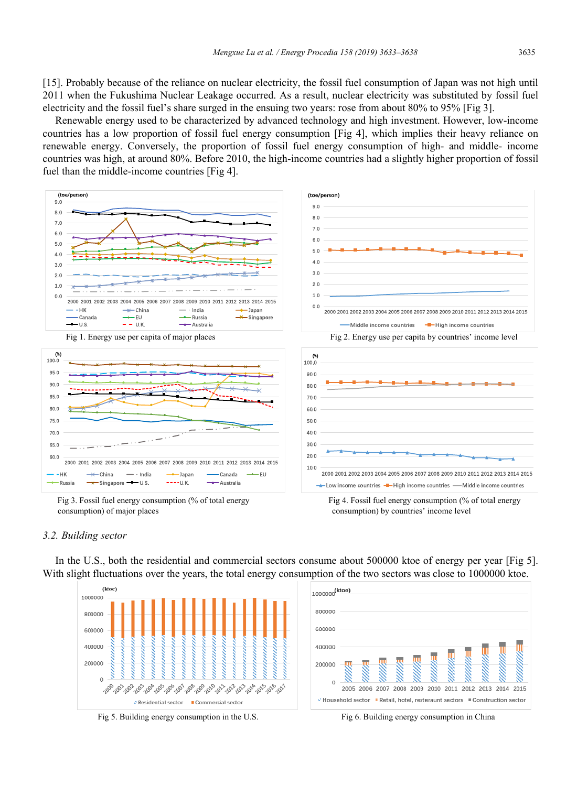[15]. Probably because of the reliance on nuclear electricity, the fossil fuel consumption of Japan was not high until 2011 when the Fukushima Nuclear Leakage occurred. As a result, nuclear electricity was substituted by fossil fuel electricity and the fossil fuel's share surged in the ensuing two years: rose from about 80% to 95% [Fig 3].

Renewable energy used to be characterized by advanced technology and high investment. However, low-income countries has a low proportion of fossil fuel energy consumption [Fig 4], which implies their heavy reliance on renewable energy. Conversely, the proportion of fossil fuel energy consumption of high- and middle- income countries was high, at around 80%. Before 2010, the high-income countries had a slightly higher proportion of fossil fuel than the middle-income countries [Fig 4].



 Fig 3. Fossil fuel energy consumption (% of total energy consumption) of major places

 Fig 4. Fossil fuel energy consumption (% of total energy consumption) by countries' income level

## *3.2. Building sector*

In the U.S., both the residential and commercial sectors consume about 500000 ktoe of energy per year [Fig 5]. With slight fluctuations over the years, the total energy consumption of the two sectors was close to 1000000 ktoe.



Fig 5. Building energy consumption in the U.S. Fig 6. Building energy consumption in China

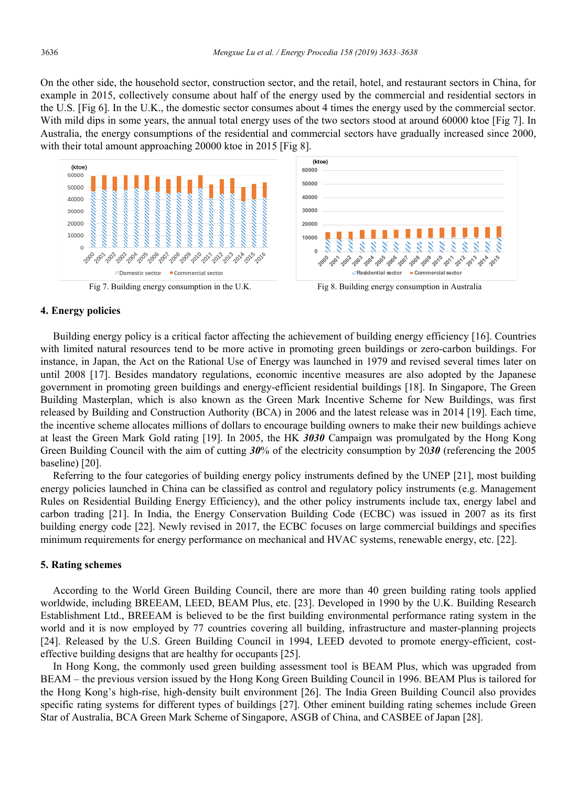On the other side, the household sector, construction sector, and the retail, hotel, and restaurant sectors in China, for example in 2015, collectively consume about half of the energy used by the commercial and residential sectors in the U.S. [Fig 6]. In the U.K., the domestic sector consumes about 4 times the energy used by the commercial sector. With mild dips in some years, the annual total energy uses of the two sectors stood at around 60000 ktoe [Fig 7]. In Australia, the energy consumptions of the residential and commercial sectors have gradually increased since 2000, with their total amount approaching 20000 ktoe in 2015 [Fig 8].



Fig 7. Building energy consumption in the U.K. Fig 8. Building energy consumption in Australia



## **4. Energy policies**

Building energy policy is a critical factor affecting the achievement of building energy efficiency [16]. Countries with limited natural resources tend to be more active in promoting green buildings or zero-carbon buildings. For instance, in Japan, the Act on the Rational Use of Energy was launched in 1979 and revised several times later on until 2008 [17]. Besides mandatory regulations, economic incentive measures are also adopted by the Japanese government in promoting green buildings and energy-efficient residential buildings [18]. In Singapore, The Green Building Masterplan, which is also known as the Green Mark Incentive Scheme for New Buildings, was first released by Building and Construction Authority (BCA) in 2006 and the latest release was in 2014 [19]. Each time, the incentive scheme allocates millions of dollars to encourage building owners to make their new buildings achieve at least the Green Mark Gold rating [19]. In 2005, the HK *3030* Campaign was promulgated by the Hong Kong Green Building Council with the aim of cutting *30*% of the electricity consumption by 20*30* (referencing the 2005 baseline) [20].

Referring to the four categories of building energy policy instruments defined by the UNEP [21], most building energy policies launched in China can be classified as control and regulatory policy instruments (e.g. Management Rules on Residential Building Energy Efficiency), and the other policy instruments include tax, energy label and carbon trading [21]. In India, the Energy Conservation Building Code (ECBC) was issued in 2007 as its first building energy code [22]. Newly revised in 2017, the ECBC focuses on large commercial buildings and specifies minimum requirements for energy performance on mechanical and HVAC systems, renewable energy, etc. [22].

#### **5. Rating schemes**

According to the World Green Building Council, there are more than 40 green building rating tools applied worldwide, including BREEAM, LEED, BEAM Plus, etc. [23]. Developed in 1990 by the U.K. Building Research Establishment Ltd., BREEAM is believed to be the first building environmental performance rating system in the world and it is now employed by 77 countries covering all building, infrastructure and master-planning projects [24]. Released by the U.S. Green Building Council in 1994, LEED devoted to promote energy-efficient, costeffective building designs that are healthy for occupants [25].

In Hong Kong, the commonly used green building assessment tool is BEAM Plus, which was upgraded from BEAM – the previous version issued by the Hong Kong Green Building Council in 1996. BEAM Plus is tailored for the Hong Kong's high-rise, high-density built environment [26]. The India Green Building Council also provides specific rating systems for different types of buildings [27]. Other eminent building rating schemes include Green Star of Australia, BCA Green Mark Scheme of Singapore, ASGB of China, and CASBEE of Japan [28].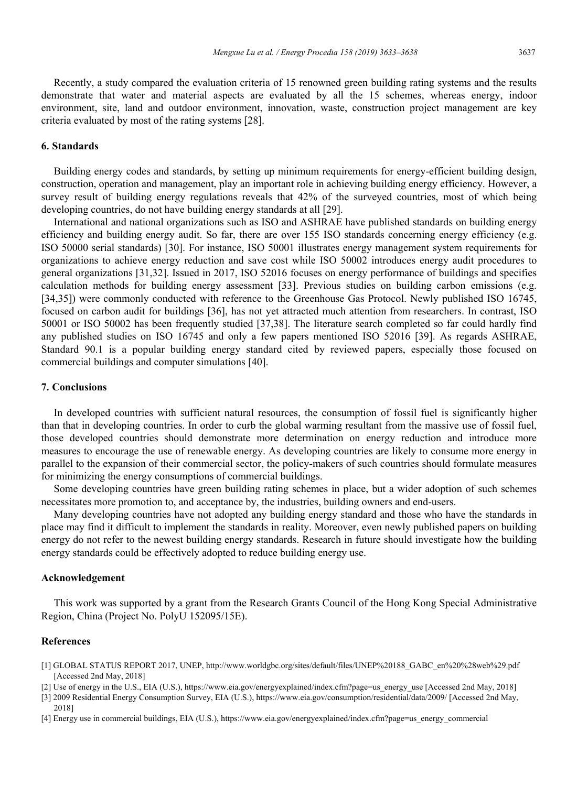Recently, a study compared the evaluation criteria of 15 renowned green building rating systems and the results demonstrate that water and material aspects are evaluated by all the 15 schemes, whereas energy, indoor environment, site, land and outdoor environment, innovation, waste, construction project management are key criteria evaluated by most of the rating systems [28].

#### **6. Standards**

Building energy codes and standards, by setting up minimum requirements for energy-efficient building design, construction, operation and management, play an important role in achieving building energy efficiency. However, a survey result of building energy regulations reveals that 42% of the surveyed countries, most of which being developing countries, do not have building energy standards at all [29].

International and national organizations such as ISO and ASHRAE have published standards on building energy efficiency and building energy audit. So far, there are over 155 ISO standards concerning energy efficiency (e.g. ISO 50000 serial standards) [30]. For instance, ISO 50001 illustrates energy management system requirements for organizations to achieve energy reduction and save cost while ISO 50002 introduces energy audit procedures to general organizations [31,32]. Issued in 2017, ISO 52016 focuses on energy performance of buildings and specifies calculation methods for building energy assessment [33]. Previous studies on building carbon emissions (e.g. [34,35]) were commonly conducted with reference to the Greenhouse Gas Protocol. Newly published ISO 16745, focused on carbon audit for buildings [36], has not yet attracted much attention from researchers. In contrast, ISO 50001 or ISO 50002 has been frequently studied [37,38]. The literature search completed so far could hardly find any published studies on ISO 16745 and only a few papers mentioned ISO 52016 [39]. As regards ASHRAE, Standard 90.1 is a popular building energy standard cited by reviewed papers, especially those focused on commercial buildings and computer simulations [40].

## **7. Conclusions**

In developed countries with sufficient natural resources, the consumption of fossil fuel is significantly higher than that in developing countries. In order to curb the global warming resultant from the massive use of fossil fuel, those developed countries should demonstrate more determination on energy reduction and introduce more measures to encourage the use of renewable energy. As developing countries are likely to consume more energy in parallel to the expansion of their commercial sector, the policy-makers of such countries should formulate measures for minimizing the energy consumptions of commercial buildings.

Some developing countries have green building rating schemes in place, but a wider adoption of such schemes necessitates more promotion to, and acceptance by, the industries, building owners and end-users.

Many developing countries have not adopted any building energy standard and those who have the standards in place may find it difficult to implement the standards in reality. Moreover, even newly published papers on building energy do not refer to the newest building energy standards. Research in future should investigate how the building energy standards could be effectively adopted to reduce building energy use.

## **Acknowledgement**

This work was supported by a grant from the Research Grants Council of the Hong Kong Special Administrative Region, China (Project No. PolyU 152095/15E).

## **References**

- [1] GLOBAL STATUS REPORT 2017, UNEP, http://www.worldgbc.org/sites/default/files/UNEP%20188\_GABC\_en%20%28web%29.pdf [Accessed 2nd May, 2018]
- [2] Use of energy in the U.S., EIA (U.S.), https://www.eia.gov/energyexplained/index.cfm?page=us\_energy\_use [Accessed 2nd May, 2018]
- [3] 2009 Residential Energy Consumption Survey, EIA (U.S.), https://www.eia.gov/consumption/residential/data/2009/ [Accessed 2nd May, 2018]
- [4] Energy use in commercial buildings, EIA (U.S.), https://www.eia.gov/energyexplained/index.cfm?page=us\_energy\_commercial